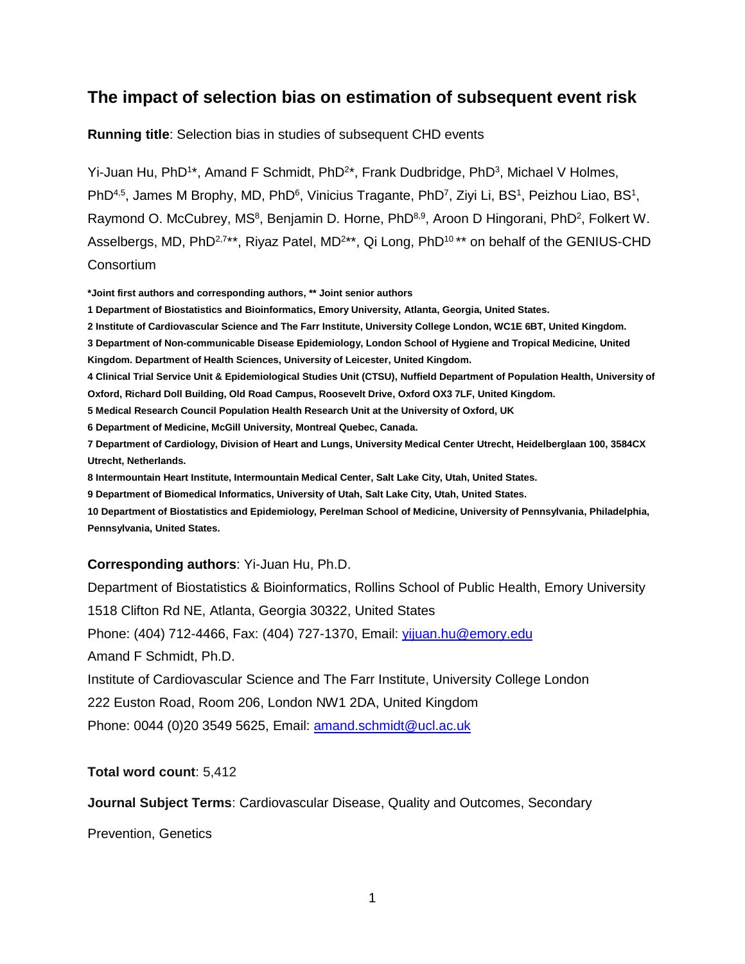# **The impact of selection bias on estimation of subsequent event risk**

**Running title**: Selection bias in studies of subsequent CHD events

Yi-Juan Hu, PhD<sup>1\*</sup>, Amand F Schmidt, PhD<sup>2\*</sup>, Frank Dudbridge, PhD<sup>3</sup>, Michael V Holmes, PhD<sup>4,5</sup>, James M Brophy, MD, PhD<sup>6</sup>, Vinicius Tragante, PhD<sup>7</sup>, Ziyi Li, BS<sup>1</sup>, Peizhou Liao, BS<sup>1</sup>, Raymond O. McCubrey, MS<sup>8</sup>, Benjamin D. Horne, PhD<sup>8,9</sup>, Aroon D Hingorani, PhD<sup>2</sup>, Folkert W. Asselbergs, MD, PhD<sup>2,7\*\*</sup>, Riyaz Patel, MD<sup>2\*\*</sup>, Qi Long, PhD<sup>10\*\*</sup> on behalf of the GENIUS-CHD **Consortium** 

**\*Joint first authors and corresponding authors, \*\* Joint senior authors**

**1 Department of Biostatistics and Bioinformatics, Emory University, Atlanta, Georgia, United States.** 

**2 Institute of Cardiovascular Science and The Farr Institute, University College London, WC1E 6BT, United Kingdom.**

**3 Department of Non-communicable Disease Epidemiology, London School of Hygiene and Tropical Medicine, United Kingdom. Department of Health Sciences, University of Leicester, United Kingdom.**

**4 Clinical Trial Service Unit & Epidemiological Studies Unit (CTSU), Nuffield Department of Population Health, University of Oxford, Richard Doll Building, Old Road Campus, Roosevelt Drive, Oxford OX3 7LF, United Kingdom.**

**5 Medical Research Council Population Health Research Unit at the University of Oxford, UK**

**6 Department of Medicine, McGill University, Montreal Quebec, Canada.**

**7 Department of Cardiology, Division of Heart and Lungs, University Medical Center Utrecht, Heidelberglaan 100, 3584CX Utrecht, Netherlands.**

**8 Intermountain Heart Institute, Intermountain Medical Center, Salt Lake City, Utah, United States.**

**9 Department of Biomedical Informatics, University of Utah, Salt Lake City, Utah, United States.**

**10 Department of Biostatistics and Epidemiology, Perelman School of Medicine, University of Pennsylvania, Philadelphia, Pennsylvania, United States.**

# **Corresponding authors**: Yi-Juan Hu, Ph.D.

Department of Biostatistics & Bioinformatics, Rollins School of Public Health, Emory University 1518 Clifton Rd NE, Atlanta, Georgia 30322, United States Phone: (404) 712-4466, Fax: (404) 727-1370, Email: [yijuan.hu@emory.edu](mailto:yijuan.hu@emory.edu) Amand F Schmidt, Ph.D. Institute of Cardiovascular Science and The Farr Institute, University College London 222 Euston Road, Room 206, London NW1 2DA, United Kingdom Phone: 0044 (0)20 3549 5625, Email: amand.schmidt@ucl.ac.uk

**Total word count**: 5,412

**Journal Subject Terms**: Cardiovascular Disease, Quality and Outcomes, Secondary

Prevention, Genetics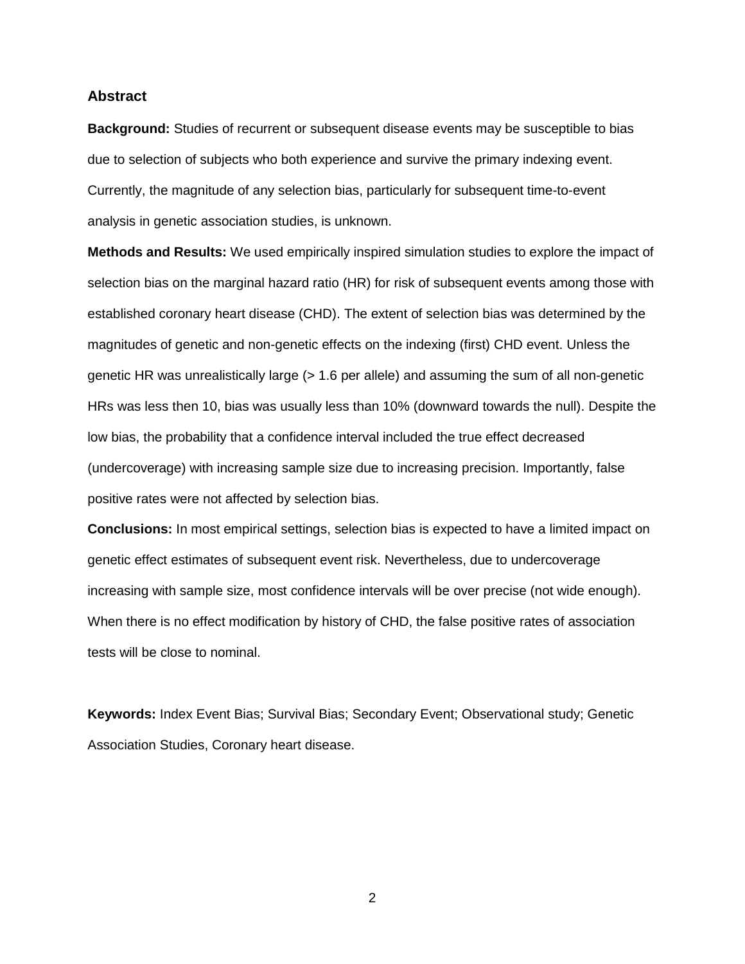### **Abstract**

**Background:** Studies of recurrent or subsequent disease events may be susceptible to bias due to selection of subjects who both experience and survive the primary indexing event. Currently, the magnitude of any selection bias, particularly for subsequent time-to-event analysis in genetic association studies, is unknown.

**Methods and Results:** We used empirically inspired simulation studies to explore the impact of selection bias on the marginal hazard ratio (HR) for risk of subsequent events among those with established coronary heart disease (CHD). The extent of selection bias was determined by the magnitudes of genetic and non-genetic effects on the indexing (first) CHD event. Unless the genetic HR was unrealistically large (> 1.6 per allele) and assuming the sum of all non-genetic HRs was less then 10, bias was usually less than 10% (downward towards the null). Despite the low bias, the probability that a confidence interval included the true effect decreased (undercoverage) with increasing sample size due to increasing precision. Importantly, false positive rates were not affected by selection bias.

**Conclusions:** In most empirical settings, selection bias is expected to have a limited impact on genetic effect estimates of subsequent event risk. Nevertheless, due to undercoverage increasing with sample size, most confidence intervals will be over precise (not wide enough). When there is no effect modification by history of CHD, the false positive rates of association tests will be close to nominal.

**Keywords:** Index Event Bias; Survival Bias; Secondary Event; Observational study; Genetic Association Studies, Coronary heart disease.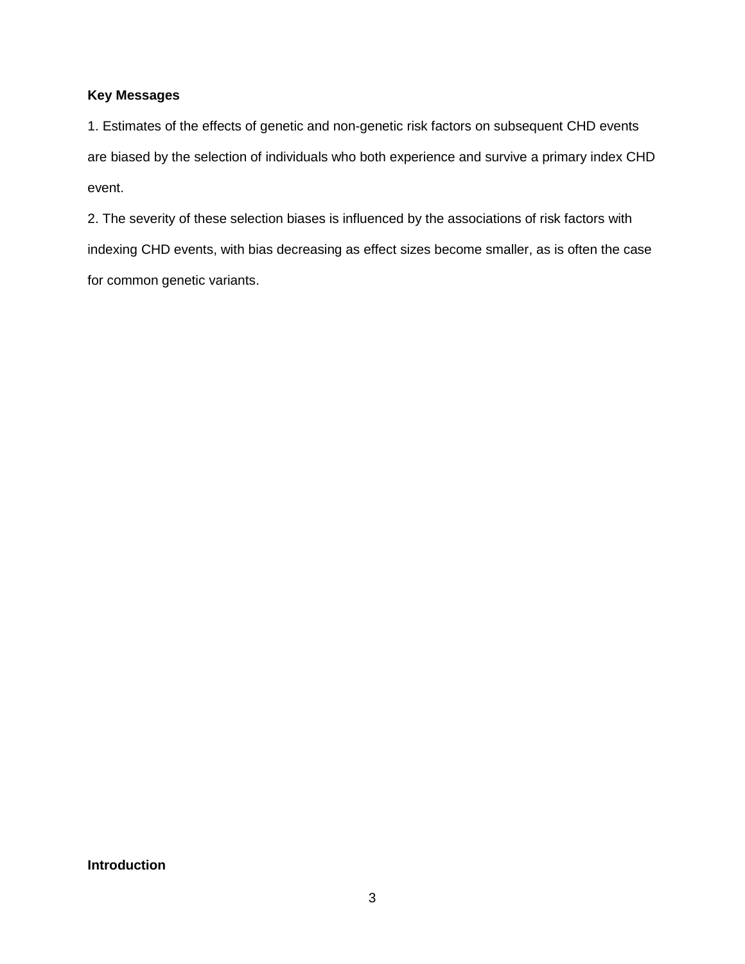# **Key Messages**

1. Estimates of the effects of genetic and non-genetic risk factors on subsequent CHD events are biased by the selection of individuals who both experience and survive a primary index CHD event.

2. The severity of these selection biases is influenced by the associations of risk factors with indexing CHD events, with bias decreasing as effect sizes become smaller, as is often the case for common genetic variants.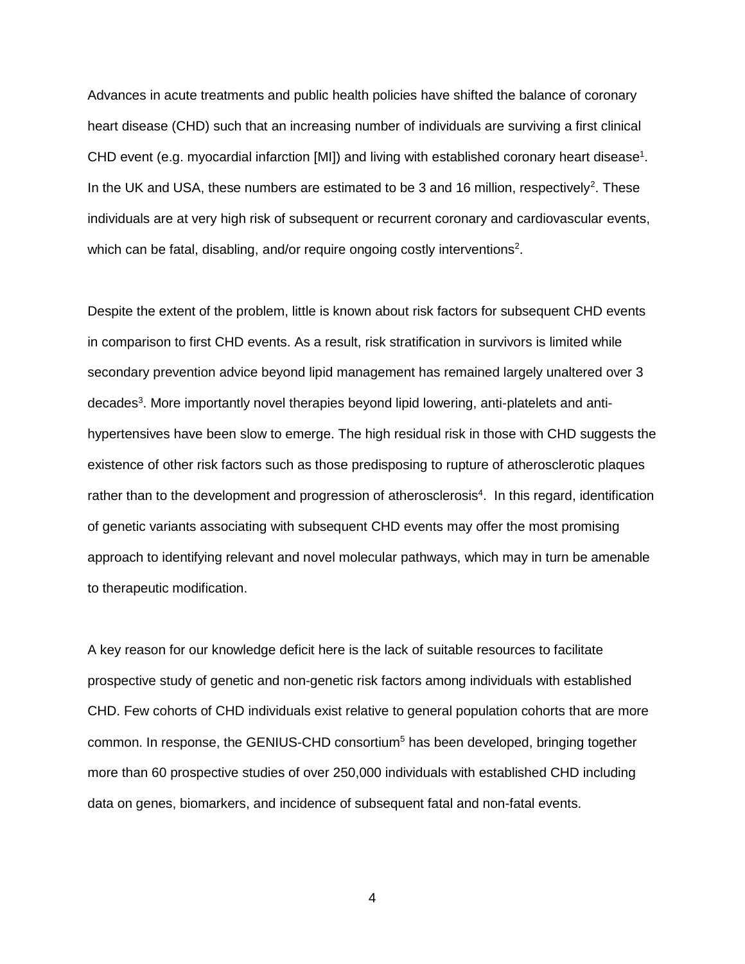Advances in acute treatments and public health policies have shifted the balance of coronary heart disease (CHD) such that an increasing number of individuals are surviving a first clinical CHD event (e.g. myocardial infarction [MI]) and living with established coronary heart disease<sup>1</sup>. In the UK and USA, these numbers are estimated to be 3 and 16 million, respectively<sup>2</sup>. These individuals are at very high risk of subsequent or recurrent coronary and cardiovascular events, which can be fatal, disabling, and/or require ongoing costly interventions<sup>2</sup>.

Despite the extent of the problem, little is known about risk factors for subsequent CHD events in comparison to first CHD events. As a result, risk stratification in survivors is limited while secondary prevention advice beyond lipid management has remained largely unaltered over 3 decades<sup>3</sup>. More importantly novel therapies beyond lipid lowering, anti-platelets and antihypertensives have been slow to emerge. The high residual risk in those with CHD suggests the existence of other risk factors such as those predisposing to rupture of atherosclerotic plaques rather than to the development and progression of atherosclerosis<sup>4</sup>. In this regard, identification of genetic variants associating with subsequent CHD events may offer the most promising approach to identifying relevant and novel molecular pathways, which may in turn be amenable to therapeutic modification.

A key reason for our knowledge deficit here is the lack of suitable resources to facilitate prospective study of genetic and non-genetic risk factors among individuals with established CHD. Few cohorts of CHD individuals exist relative to general population cohorts that are more common. In response, the GENIUS-CHD consortium<sup>5</sup> has been developed, bringing together more than 60 prospective studies of over 250,000 individuals with established CHD including data on genes, biomarkers, and incidence of subsequent fatal and non-fatal events.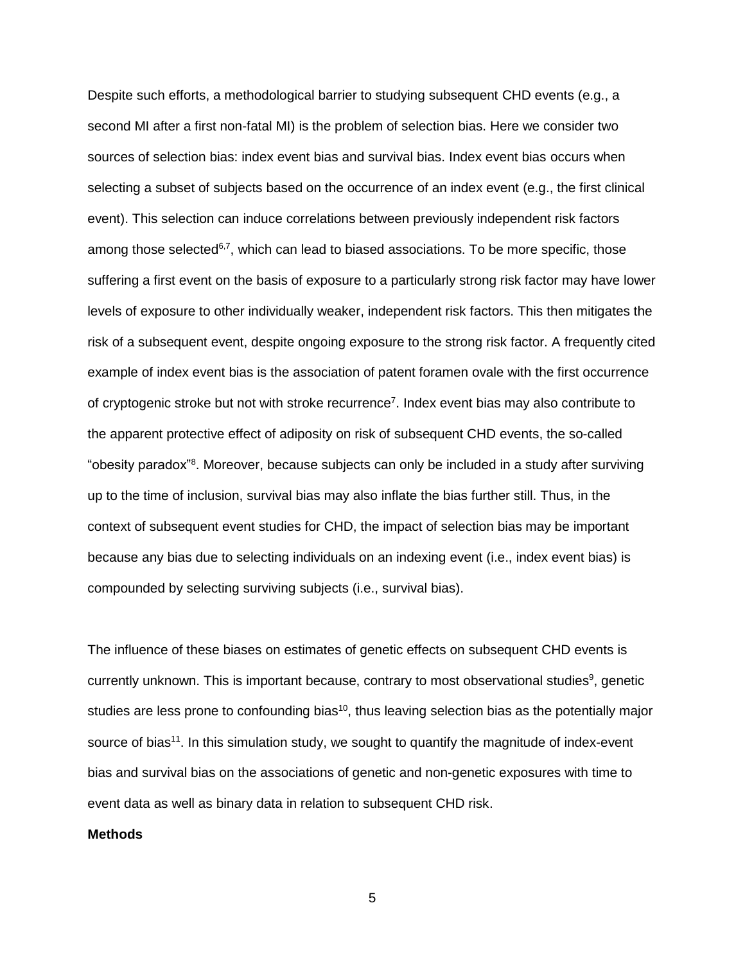Despite such efforts, a methodological barrier to studying subsequent CHD events (e.g., a second MI after a first non-fatal MI) is the problem of selection bias. Here we consider two sources of selection bias: index event bias and survival bias. Index event bias occurs when selecting a subset of subjects based on the occurrence of an index event (e.g., the first clinical event). This selection can induce correlations between previously independent risk factors among those selected<sup>6,7</sup>, which can lead to biased associations. To be more specific, those suffering a first event on the basis of exposure to a particularly strong risk factor may have lower levels of exposure to other individually weaker, independent risk factors. This then mitigates the risk of a subsequent event, despite ongoing exposure to the strong risk factor. A frequently cited example of index event bias is the association of patent foramen ovale with the first occurrence of cryptogenic stroke but not with stroke recurrence<sup>7</sup>. Index event bias may also contribute to the apparent protective effect of adiposity on risk of subsequent CHD events, the so-called "obesity paradox"<sup>8</sup> . Moreover, because subjects can only be included in a study after surviving up to the time of inclusion, survival bias may also inflate the bias further still. Thus, in the context of subsequent event studies for CHD, the impact of selection bias may be important because any bias due to selecting individuals on an indexing event (i.e., index event bias) is compounded by selecting surviving subjects (i.e., survival bias).

The influence of these biases on estimates of genetic effects on subsequent CHD events is currently unknown. This is important because, contrary to most observational studies<sup>9</sup>, genetic studies are less prone to confounding bias<sup>10</sup>, thus leaving selection bias as the potentially major source of bias<sup>11</sup>. In this simulation study, we sought to quantify the magnitude of index-event bias and survival bias on the associations of genetic and non-genetic exposures with time to event data as well as binary data in relation to subsequent CHD risk.

### **Methods**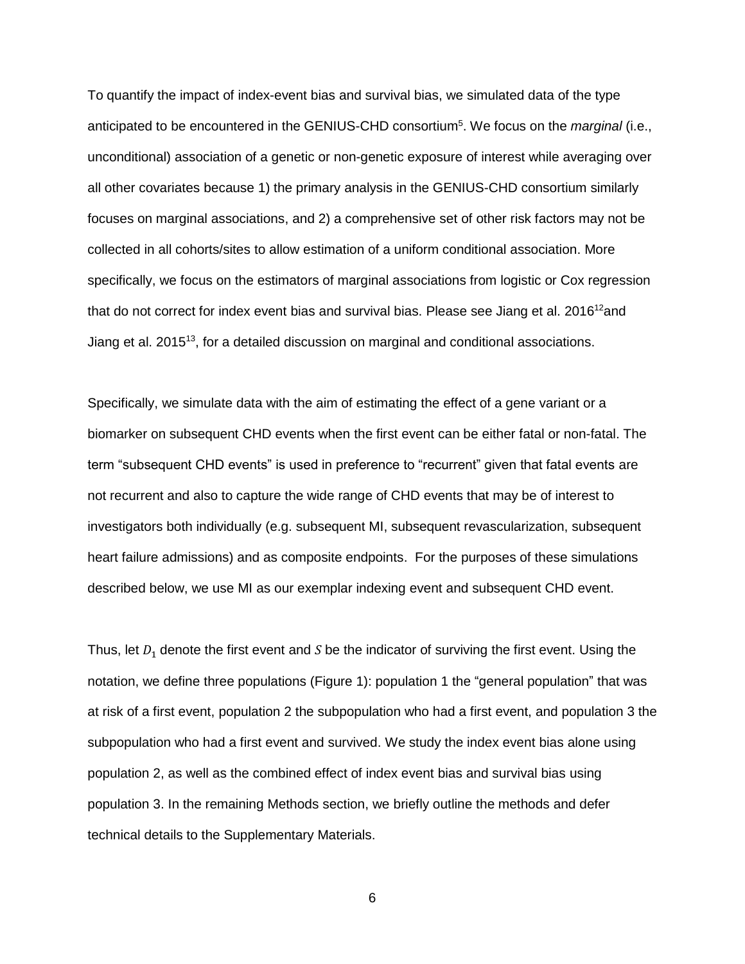To quantify the impact of index-event bias and survival bias, we simulated data of the type anticipated to be encountered in the GENIUS-CHD consortium<sup>5</sup>. We focus on the *marginal* (i.e., unconditional) association of a genetic or non-genetic exposure of interest while averaging over all other covariates because 1) the primary analysis in the GENIUS-CHD consortium similarly focuses on marginal associations, and 2) a comprehensive set of other risk factors may not be collected in all cohorts/sites to allow estimation of a uniform conditional association. More specifically, we focus on the estimators of marginal associations from logistic or Cox regression that do not correct for index event bias and survival bias. Please see Jiang et al.  $2016^{12}$ and Jiang et al. 2015<sup>13</sup>, for a detailed discussion on marginal and conditional associations.

Specifically, we simulate data with the aim of estimating the effect of a gene variant or a biomarker on subsequent CHD events when the first event can be either fatal or non-fatal. The term "subsequent CHD events" is used in preference to "recurrent" given that fatal events are not recurrent and also to capture the wide range of CHD events that may be of interest to investigators both individually (e.g. subsequent MI, subsequent revascularization, subsequent heart failure admissions) and as composite endpoints. For the purposes of these simulations described below, we use MI as our exemplar indexing event and subsequent CHD event.

Thus, let  $D_1$  denote the first event and S be the indicator of surviving the first event. Using the notation, we define three populations (Figure 1): population 1 the "general population" that was at risk of a first event, population 2 the subpopulation who had a first event, and population 3 the subpopulation who had a first event and survived. We study the index event bias alone using population 2, as well as the combined effect of index event bias and survival bias using population 3. In the remaining Methods section, we briefly outline the methods and defer technical details to the Supplementary Materials.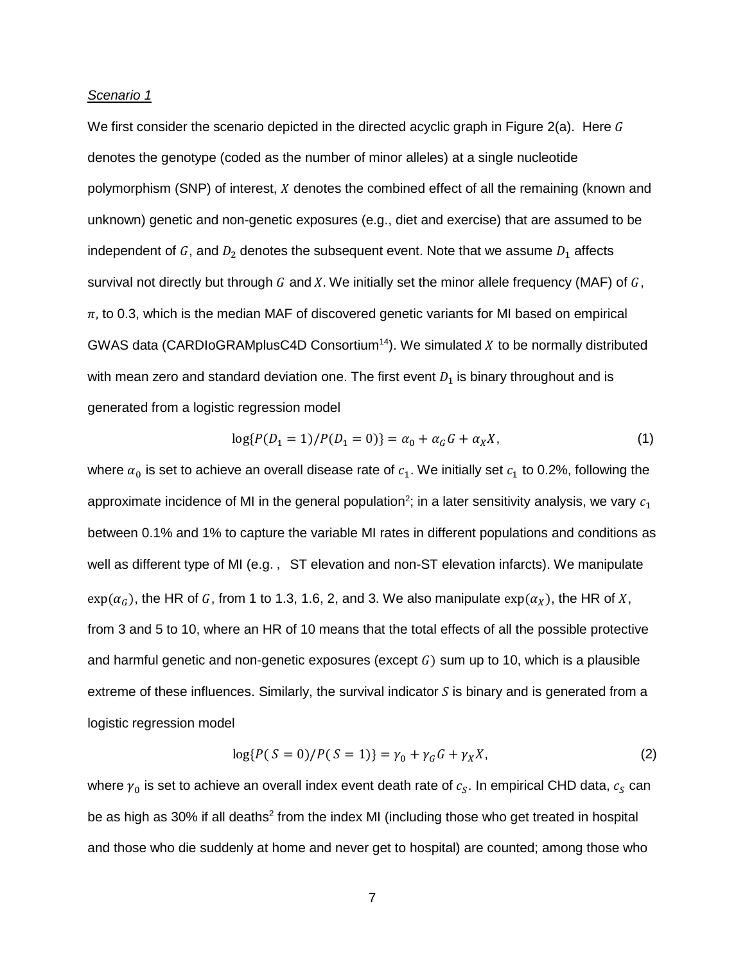#### *Scenario 1*

We first consider the scenario depicted in the directed acyclic graph in Figure 2(a). Here  $G$ denotes the genotype (coded as the number of minor alleles) at a single nucleotide polymorphism (SNP) of interest, X denotes the combined effect of all the remaining (known and unknown) genetic and non-genetic exposures (e.g., diet and exercise) that are assumed to be independent of G, and  $D_2$  denotes the subsequent event. Note that we assume  $D_1$  affects survival not directly but through G and X. We initially set the minor allele frequency (MAF) of  $G$ ,  $\pi$ , to 0.3, which is the median MAF of discovered genetic variants for MI based on empirical GWAS data (CARDIoGRAMplusC4D Consortium<sup>14</sup>). We simulated  $X$  to be normally distributed with mean zero and standard deviation one. The first event  $D_1$  is binary throughout and is generated from a logistic regression model

$$
\log\{P(D_1 = 1)/P(D_1 = 0)\} = \alpha_0 + \alpha_G G + \alpha_X X,\tag{1}
$$

where  $\alpha_0$  is set to achieve an overall disease rate of  $c_1$ . We initially set  $c_1$  to 0.2%, following the approximate incidence of MI in the general population<sup>2</sup>; in a later sensitivity analysis, we vary  $\mathit{c_{1}}$ between 0.1% and 1% to capture the variable MI rates in different populations and conditions as well as different type of MI (e.g., ST elevation and non-ST elevation infarcts). We manipulate  $\exp(\alpha_G)$ , the HR of G, from 1 to 1.3, 1.6, 2, and 3. We also manipulate  $\exp(\alpha_X)$ , the HR of X, from 3 and 5 to 10, where an HR of 10 means that the total effects of all the possible protective and harmful genetic and non-genetic exposures (except  $G$ ) sum up to 10, which is a plausible extreme of these influences. Similarly, the survival indicator  $S$  is binary and is generated from a logistic regression model

$$
\log\{P(S=0)/P(S=1)\} = \gamma_0 + \gamma_G G + \gamma_X X,\tag{2}
$$

where  $\gamma_0$  is set to achieve an overall index event death rate of  $c_{\scriptscriptstyle S}$ . In empirical CHD data,  $c_{\scriptscriptstyle S}$  can be as high as 30% if all deaths<sup>2</sup> from the index MI (including those who get treated in hospital and those who die suddenly at home and never get to hospital) are counted; among those who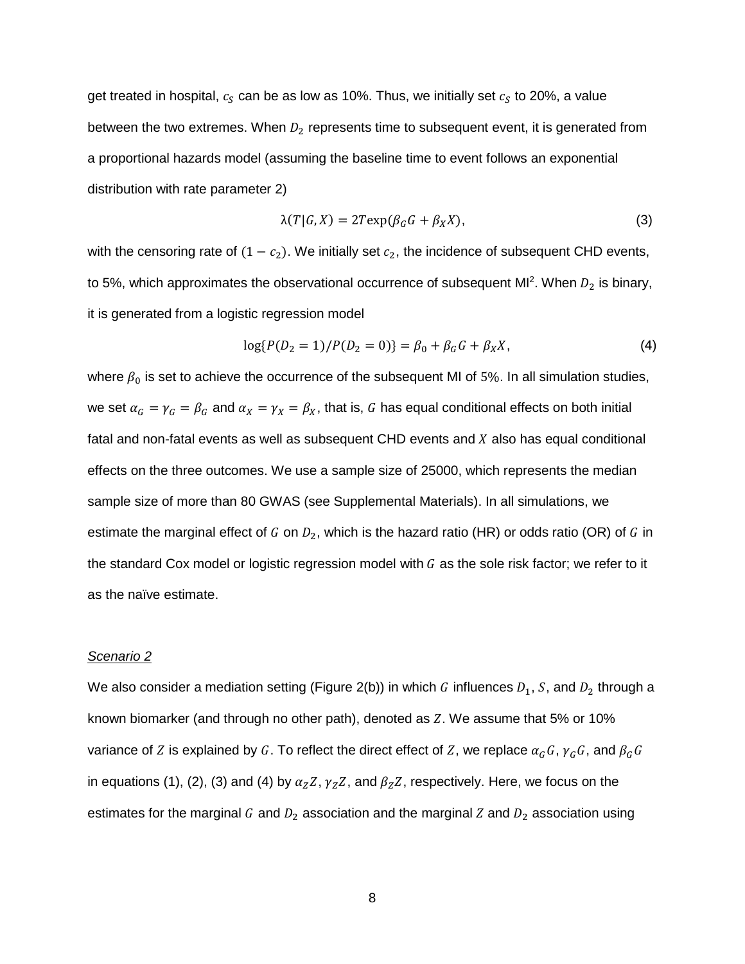get treated in hospital,  $c_{\scriptscriptstyle S}$  can be as low as 10%. Thus, we initially set  $c_{\scriptscriptstyle S}$  to 20%, a value between the two extremes. When  $D_2$  represents time to subsequent event, it is generated from a proportional hazards model (assuming the baseline time to event follows an exponential distribution with rate parameter 2)

$$
\lambda(T|G, X) = 2T \exp(\beta_G G + \beta_X X), \tag{3}
$$

with the censoring rate of  $(1 - c_2)$ . We initially set  $c_2$ , the incidence of subsequent CHD events, to 5%, which approximates the observational occurrence of subsequent MI<sup>2</sup>. When  $D_2$  is binary, it is generated from a logistic regression model

$$
\log\{P(D_2 = 1)/P(D_2 = 0)\} = \beta_0 + \beta_G G + \beta_X X,\tag{4}
$$

where  $\beta_0$  is set to achieve the occurrence of the subsequent MI of 5%. In all simulation studies, we set  $\alpha_G = \gamma_G = \beta_G$  and  $\alpha_X = \gamma_X = \beta_X$ , that is, G has equal conditional effects on both initial fatal and non-fatal events as well as subsequent CHD events and  $X$  also has equal conditional effects on the three outcomes. We use a sample size of 25000, which represents the median sample size of more than 80 GWAS (see Supplemental Materials). In all simulations, we estimate the marginal effect of G on  $D_2$ , which is the hazard ratio (HR) or odds ratio (OR) of G in the standard Cox model or logistic regression model with  $G$  as the sole risk factor; we refer to it as the naïve estimate.

### *Scenario 2*

We also consider a mediation setting (Figure 2(b)) in which G influences  $D_1$ , S, and  $D_2$  through a known biomarker (and through no other path), denoted as  $Z$ . We assume that 5% or 10% variance of Z is explained by G. To reflect the direct effect of Z, we replace  $\alpha_G G$ ,  $\gamma_G G$ , and  $\beta_G G$ in equations (1), (2), (3) and (4) by  $\alpha_Z Z$ ,  $\gamma_Z Z$ , and  $\beta_Z Z$ , respectively. Here, we focus on the estimates for the marginal G and  $D_2$  association and the marginal Z and  $D_2$  association using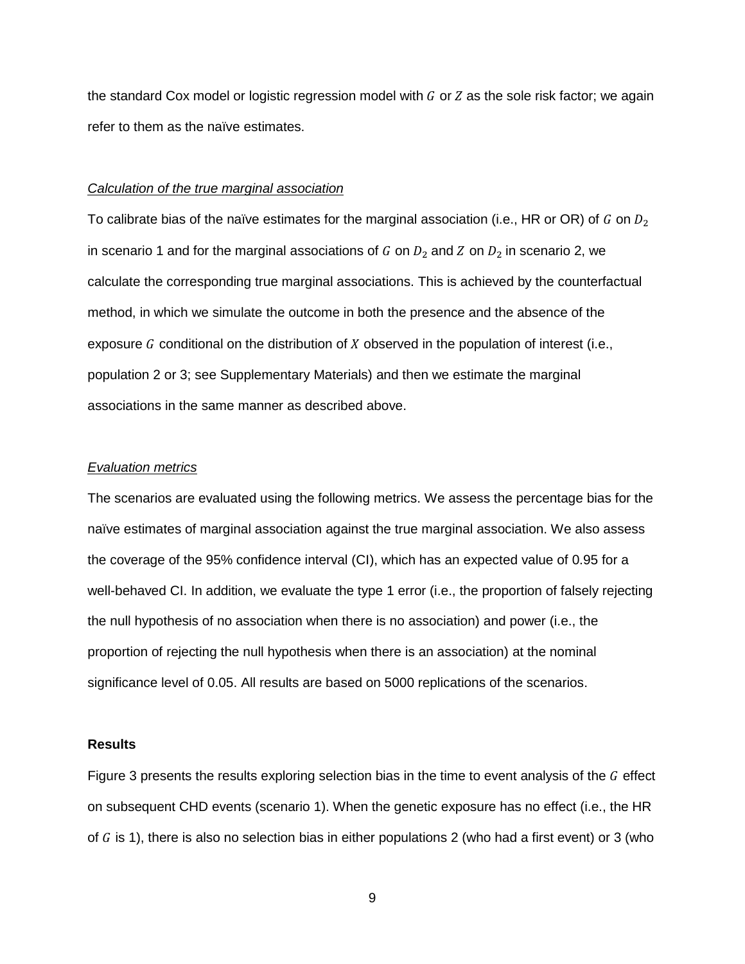the standard Cox model or logistic regression model with  $G$  or  $Z$  as the sole risk factor; we again refer to them as the naïve estimates.

#### *Calculation of the true marginal association*

To calibrate bias of the naïve estimates for the marginal association (i.e., HR or OR) of G on  $D_2$ in scenario 1 and for the marginal associations of G on  $D_2$  and Z on  $D_2$  in scenario 2, we calculate the corresponding true marginal associations. This is achieved by the counterfactual method, in which we simulate the outcome in both the presence and the absence of the exposure  $G$  conditional on the distribution of  $X$  observed in the population of interest (i.e., population 2 or 3; see Supplementary Materials) and then we estimate the marginal associations in the same manner as described above.

### *Evaluation metrics*

The scenarios are evaluated using the following metrics. We assess the percentage bias for the naïve estimates of marginal association against the true marginal association. We also assess the coverage of the 95% confidence interval (CI), which has an expected value of 0.95 for a well-behaved CI. In addition, we evaluate the type 1 error (i.e., the proportion of falsely rejecting the null hypothesis of no association when there is no association) and power (i.e., the proportion of rejecting the null hypothesis when there is an association) at the nominal significance level of 0.05. All results are based on 5000 replications of the scenarios.

#### **Results**

Figure 3 presents the results exploring selection bias in the time to event analysis of the  $G$  effect on subsequent CHD events (scenario 1). When the genetic exposure has no effect (i.e., the HR of  $G$  is 1), there is also no selection bias in either populations 2 (who had a first event) or 3 (who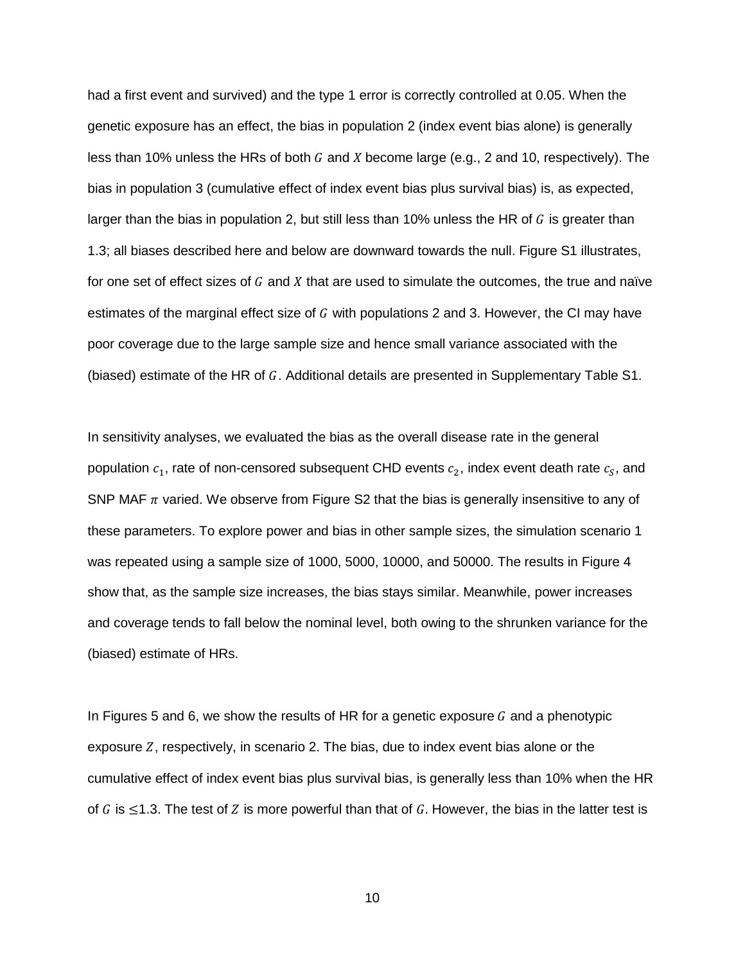had a first event and survived) and the type 1 error is correctly controlled at 0.05. When the genetic exposure has an effect, the bias in population 2 (index event bias alone) is generally less than 10% unless the HRs of both G and X become large (e.g., 2 and 10, respectively). The bias in population 3 (cumulative effect of index event bias plus survival bias) is, as expected, larger than the bias in population 2, but still less than 10% unless the HR of  $G$  is greater than 1.3; all biases described here and below are downward towards the null. Figure S1 illustrates, for one set of effect sizes of  $G$  and  $X$  that are used to simulate the outcomes, the true and naïve estimates of the marginal effect size of  $G$  with populations 2 and 3. However, the CI may have poor coverage due to the large sample size and hence small variance associated with the (biased) estimate of the HR of  $G$ . Additional details are presented in Supplementary Table S1.

In sensitivity analyses, we evaluated the bias as the overall disease rate in the general population  $c_1$ , rate of non-censored subsequent CHD events  $c_2$ , index event death rate  $c_S$ , and SNP MAF  $\pi$  varied. We observe from Figure S2 that the bias is generally insensitive to any of these parameters. To explore power and bias in other sample sizes, the simulation scenario 1 was repeated using a sample size of 1000, 5000, 10000, and 50000. The results in Figure 4 show that, as the sample size increases, the bias stays similar. Meanwhile, power increases and coverage tends to fall below the nominal level, both owing to the shrunken variance for the (biased) estimate of HRs.

In Figures 5 and 6, we show the results of HR for a genetic exposure  $G$  and a phenotypic exposure  $Z$ , respectively, in scenario 2. The bias, due to index event bias alone or the cumulative effect of index event bias plus survival bias, is generally less than 10% when the HR of G is  $\leq$ 1.3. The test of Z is more powerful than that of G. However, the bias in the latter test is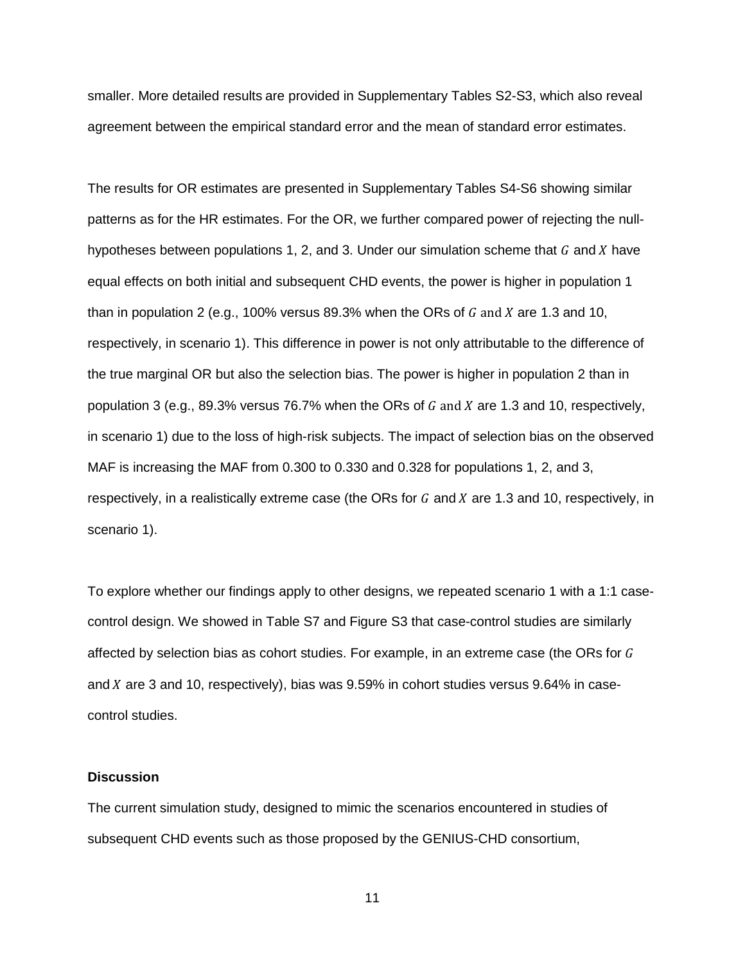smaller. More detailed results are provided in Supplementary Tables S2-S3, which also reveal agreement between the empirical standard error and the mean of standard error estimates.

The results for OR estimates are presented in Supplementary Tables S4-S6 showing similar patterns as for the HR estimates. For the OR, we further compared power of rejecting the nullhypotheses between populations 1, 2, and 3. Under our simulation scheme that  $G$  and  $X$  have equal effects on both initial and subsequent CHD events, the power is higher in population 1 than in population 2 (e.g., 100% versus 89.3% when the ORs of  $G$  and  $X$  are 1.3 and 10, respectively, in scenario 1). This difference in power is not only attributable to the difference of the true marginal OR but also the selection bias. The power is higher in population 2 than in population 3 (e.g., 89.3% versus 76.7% when the ORs of  $G$  and  $X$  are 1.3 and 10, respectively, in scenario 1) due to the loss of high-risk subjects. The impact of selection bias on the observed MAF is increasing the MAF from 0.300 to 0.330 and 0.328 for populations 1, 2, and 3, respectively, in a realistically extreme case (the ORs for  $G$  and  $X$  are 1.3 and 10, respectively, in scenario 1).

To explore whether our findings apply to other designs, we repeated scenario 1 with a 1:1 casecontrol design. We showed in Table S7 and Figure S3 that case-control studies are similarly affected by selection bias as cohort studies. For example, in an extreme case (the ORs for  $G$ and  $X$  are 3 and 10, respectively), bias was  $9.59\%$  in cohort studies versus  $9.64\%$  in casecontrol studies.

## **Discussion**

The current simulation study, designed to mimic the scenarios encountered in studies of subsequent CHD events such as those proposed by the GENIUS-CHD consortium,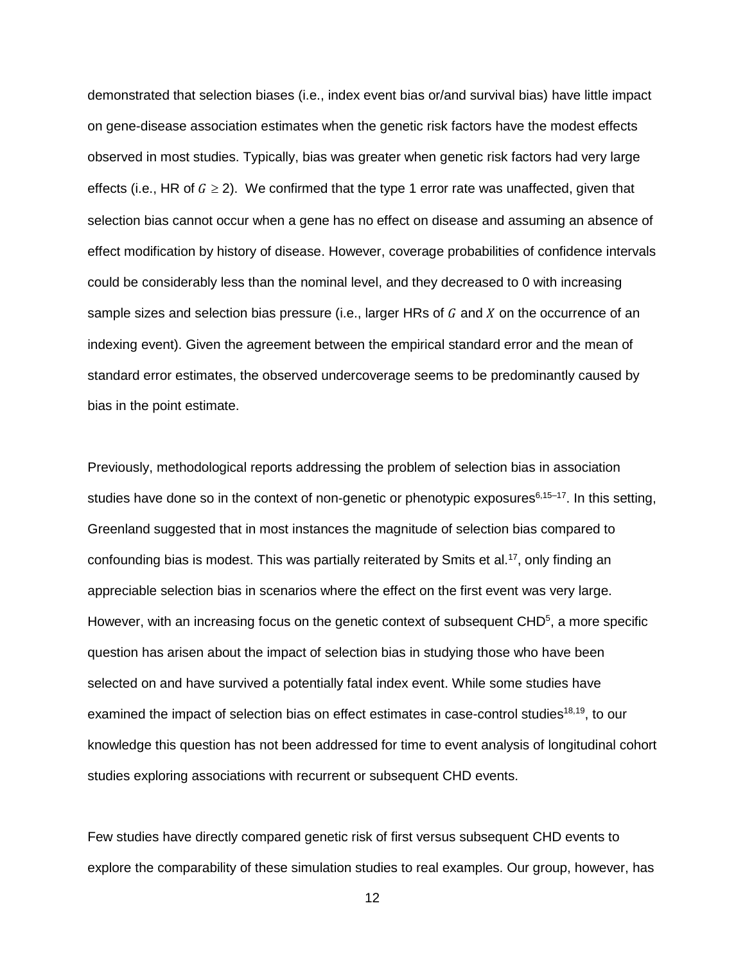demonstrated that selection biases (i.e., index event bias or/and survival bias) have little impact on gene-disease association estimates when the genetic risk factors have the modest effects observed in most studies. Typically, bias was greater when genetic risk factors had very large effects (i.e., HR of  $G \ge 2$ ). We confirmed that the type 1 error rate was unaffected, given that selection bias cannot occur when a gene has no effect on disease and assuming an absence of effect modification by history of disease. However, coverage probabilities of confidence intervals could be considerably less than the nominal level, and they decreased to 0 with increasing sample sizes and selection bias pressure (i.e., larger HRs of  $G$  and  $X$  on the occurrence of an indexing event). Given the agreement between the empirical standard error and the mean of standard error estimates, the observed undercoverage seems to be predominantly caused by bias in the point estimate.

Previously, methodological reports addressing the problem of selection bias in association studies have done so in the context of non-genetic or phenotypic exposures<sup>6,15–17</sup>. In this setting, Greenland suggested that in most instances the magnitude of selection bias compared to confounding bias is modest. This was partially reiterated by Smits et al.<sup>17</sup>, only finding an appreciable selection bias in scenarios where the effect on the first event was very large. However, with an increasing focus on the genetic context of subsequent  $CHD<sup>5</sup>$ , a more specific question has arisen about the impact of selection bias in studying those who have been selected on and have survived a potentially fatal index event. While some studies have examined the impact of selection bias on effect estimates in case-control studies<sup>18,19</sup>, to our knowledge this question has not been addressed for time to event analysis of longitudinal cohort studies exploring associations with recurrent or subsequent CHD events.

Few studies have directly compared genetic risk of first versus subsequent CHD events to explore the comparability of these simulation studies to real examples. Our group, however, has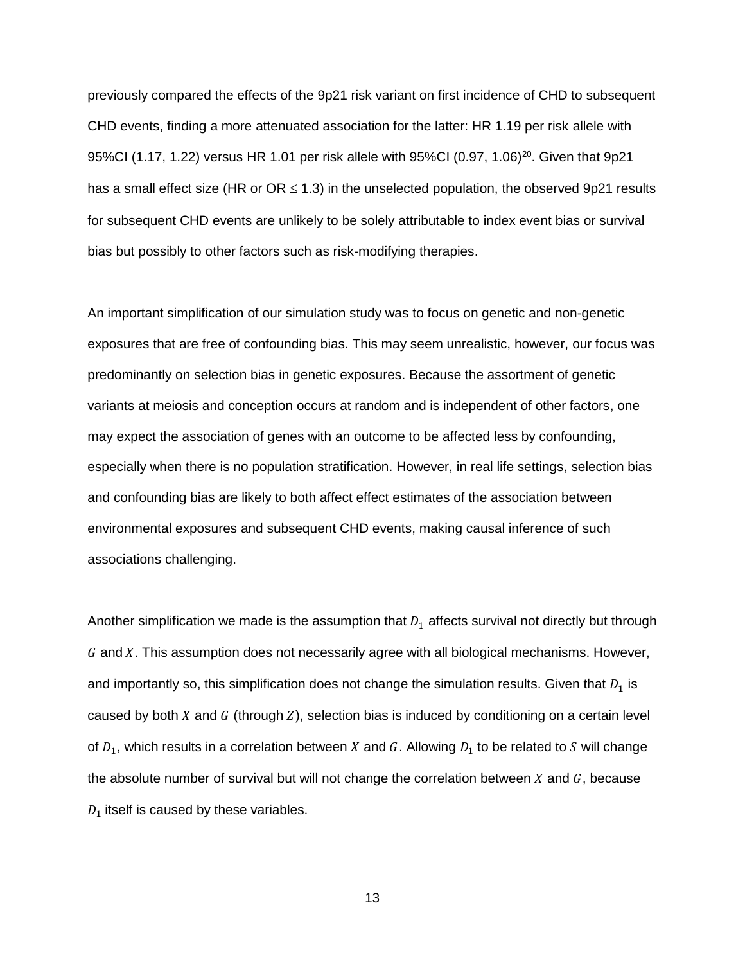previously compared the effects of the 9p21 risk variant on first incidence of CHD to subsequent CHD events, finding a more attenuated association for the latter: HR 1.19 per risk allele with 95%CI (1.17, 1.22) versus HR 1.01 per risk allele with 95%CI (0.97, 1.06)<sup>20</sup>. Given that 9p21 has a small effect size (HR or  $OR \le 1.3$ ) in the unselected population, the observed 9p21 results for subsequent CHD events are unlikely to be solely attributable to index event bias or survival bias but possibly to other factors such as risk-modifying therapies.

An important simplification of our simulation study was to focus on genetic and non-genetic exposures that are free of confounding bias. This may seem unrealistic, however, our focus was predominantly on selection bias in genetic exposures. Because the assortment of genetic variants at meiosis and conception occurs at random and is independent of other factors, one may expect the association of genes with an outcome to be affected less by confounding, especially when there is no population stratification. However, in real life settings, selection bias and confounding bias are likely to both affect effect estimates of the association between environmental exposures and subsequent CHD events, making causal inference of such associations challenging.

Another simplification we made is the assumption that  $D_1$  affects survival not directly but through  $G$  and  $X$ . This assumption does not necessarily agree with all biological mechanisms. However, and importantly so, this simplification does not change the simulation results. Given that  $D_1$  is caused by both X and  $G$  (through  $Z$ ), selection bias is induced by conditioning on a certain level of  $D_1$ , which results in a correlation between X and G. Allowing  $D_1$  to be related to S will change the absolute number of survival but will not change the correlation between  $X$  and  $G$ , because  $D_1$  itself is caused by these variables.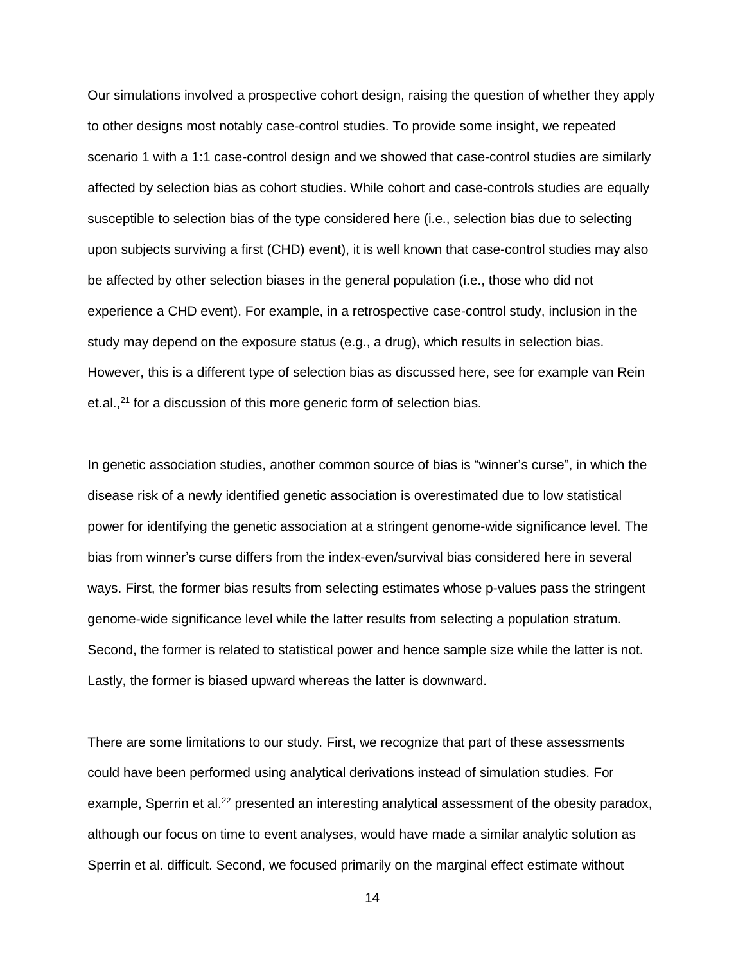Our simulations involved a prospective cohort design, raising the question of whether they apply to other designs most notably case-control studies. To provide some insight, we repeated scenario 1 with a 1:1 case-control design and we showed that case-control studies are similarly affected by selection bias as cohort studies. While cohort and case-controls studies are equally susceptible to selection bias of the type considered here (i.e., selection bias due to selecting upon subjects surviving a first (CHD) event), it is well known that case-control studies may also be affected by other selection biases in the general population (i.e., those who did not experience a CHD event). For example, in a retrospective case-control study, inclusion in the study may depend on the exposure status (e.g., a drug), which results in selection bias. However, this is a different type of selection bias as discussed here, see for example van Rein et.al.,<sup>21</sup> for a discussion of this more generic form of selection bias.

In genetic association studies, another common source of bias is "winner's curse", in which the disease risk of a newly identified genetic association is overestimated due to low statistical power for identifying the genetic association at a stringent genome-wide significance level. The bias from winner's curse differs from the index-even/survival bias considered here in several ways. First, the former bias results from selecting estimates whose p-values pass the stringent genome-wide significance level while the latter results from selecting a population stratum. Second, the former is related to statistical power and hence sample size while the latter is not. Lastly, the former is biased upward whereas the latter is downward.

There are some limitations to our study. First, we recognize that part of these assessments could have been performed using analytical derivations instead of simulation studies. For example, Sperrin et al.<sup>22</sup> presented an interesting analytical assessment of the obesity paradox, although our focus on time to event analyses, would have made a similar analytic solution as Sperrin et al. difficult. Second, we focused primarily on the marginal effect estimate without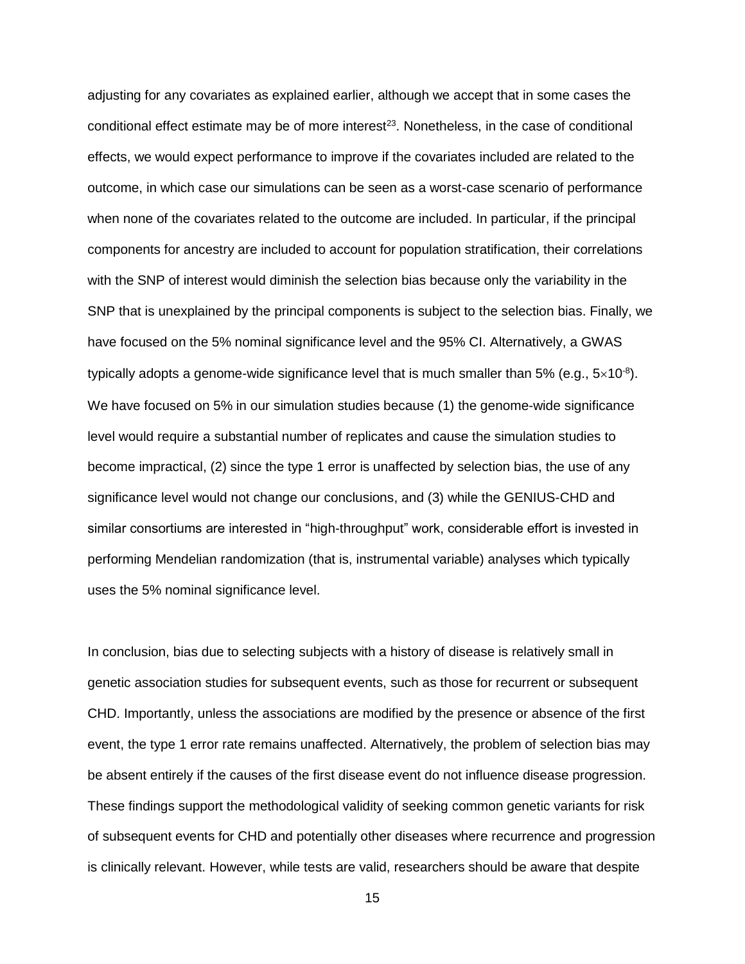adjusting for any covariates as explained earlier, although we accept that in some cases the conditional effect estimate may be of more interest<sup>23</sup>. Nonetheless, in the case of conditional effects, we would expect performance to improve if the covariates included are related to the outcome, in which case our simulations can be seen as a worst-case scenario of performance when none of the covariates related to the outcome are included. In particular, if the principal components for ancestry are included to account for population stratification, their correlations with the SNP of interest would diminish the selection bias because only the variability in the SNP that is unexplained by the principal components is subject to the selection bias. Finally, we have focused on the 5% nominal significance level and the 95% CI. Alternatively, a GWAS typically adopts a genome-wide significance level that is much smaller than 5% (e.g.,  $5\times10^{-8}$ ). We have focused on 5% in our simulation studies because (1) the genome-wide significance level would require a substantial number of replicates and cause the simulation studies to become impractical, (2) since the type 1 error is unaffected by selection bias, the use of any significance level would not change our conclusions, and (3) while the GENIUS-CHD and similar consortiums are interested in "high-throughput" work, considerable effort is invested in performing Mendelian randomization (that is, instrumental variable) analyses which typically uses the 5% nominal significance level.

In conclusion, bias due to selecting subjects with a history of disease is relatively small in genetic association studies for subsequent events, such as those for recurrent or subsequent CHD. Importantly, unless the associations are modified by the presence or absence of the first event, the type 1 error rate remains unaffected. Alternatively, the problem of selection bias may be absent entirely if the causes of the first disease event do not influence disease progression. These findings support the methodological validity of seeking common genetic variants for risk of subsequent events for CHD and potentially other diseases where recurrence and progression is clinically relevant. However, while tests are valid, researchers should be aware that despite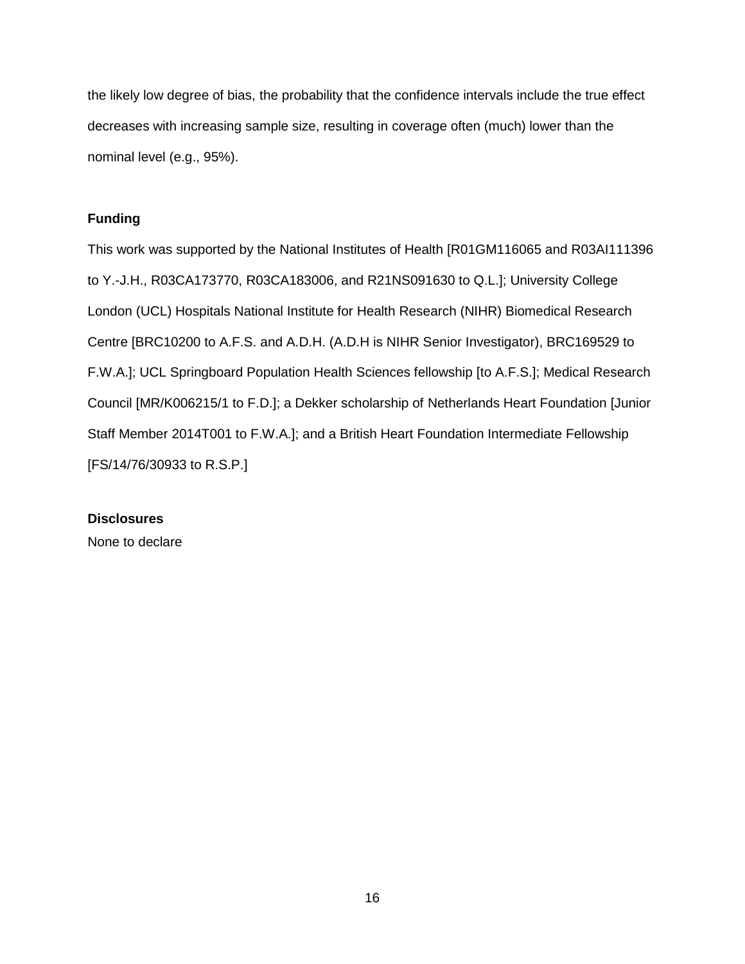the likely low degree of bias, the probability that the confidence intervals include the true effect decreases with increasing sample size, resulting in coverage often (much) lower than the nominal level (e.g., 95%).

# **Funding**

This work was supported by the National Institutes of Health [R01GM116065 and R03AI111396 to Y.-J.H., R03CA173770, R03CA183006, and R21NS091630 to Q.L.]; University College London (UCL) Hospitals National Institute for Health Research (NIHR) Biomedical Research Centre [BRC10200 to A.F.S. and A.D.H. (A.D.H is NIHR Senior Investigator), BRC169529 to F.W.A.]; UCL Springboard Population Health Sciences fellowship [to A.F.S.]; Medical Research Council [MR/K006215/1 to F.D.]; a Dekker scholarship of Netherlands Heart Foundation [Junior Staff Member 2014T001 to F.W.A.]; and a British Heart Foundation Intermediate Fellowship [FS/14/76/30933 to R.S.P.]

### **Disclosures**

None to declare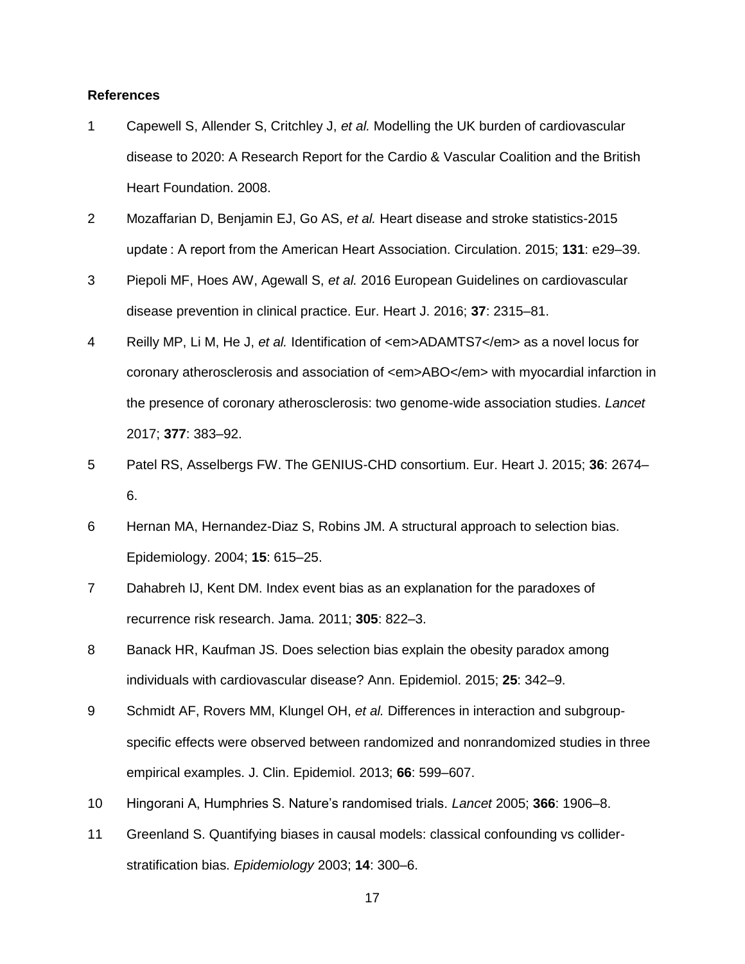### **References**

- 1 Capewell S, Allender S, Critchley J, *et al.* Modelling the UK burden of cardiovascular disease to 2020: A Research Report for the Cardio & Vascular Coalition and the British Heart Foundation. 2008.
- 2 Mozaffarian D, Benjamin EJ, Go AS, *et al.* Heart disease and stroke statistics-2015 update : A report from the American Heart Association. Circulation. 2015; **131**: e29–39.
- 3 Piepoli MF, Hoes AW, Agewall S, *et al.* 2016 European Guidelines on cardiovascular disease prevention in clinical practice. Eur. Heart J. 2016; **37**: 2315–81.
- 4 Reilly MP, Li M, He J, *et al.* Identification of <em>ADAMTS7</em> as a novel locus for coronary atherosclerosis and association of <em>ABO</em> with myocardial infarction in the presence of coronary atherosclerosis: two genome-wide association studies. *Lancet* 2017; **377**: 383–92.
- 5 Patel RS, Asselbergs FW. The GENIUS-CHD consortium. Eur. Heart J. 2015; **36**: 2674– 6.
- 6 Hernan MA, Hernandez-Diaz S, Robins JM. A structural approach to selection bias. Epidemiology. 2004; **15**: 615–25.
- 7 Dahabreh IJ, Kent DM. Index event bias as an explanation for the paradoxes of recurrence risk research. Jama. 2011; **305**: 822–3.
- 8 Banack HR, Kaufman JS. Does selection bias explain the obesity paradox among individuals with cardiovascular disease? Ann. Epidemiol. 2015; **25**: 342–9.
- 9 Schmidt AF, Rovers MM, Klungel OH, *et al.* Differences in interaction and subgroupspecific effects were observed between randomized and nonrandomized studies in three empirical examples. J. Clin. Epidemiol. 2013; **66**: 599–607.
- 10 Hingorani A, Humphries S. Nature's randomised trials. *Lancet* 2005; **366**: 1906–8.
- 11 Greenland S. Quantifying biases in causal models: classical confounding vs colliderstratification bias. *Epidemiology* 2003; **14**: 300–6.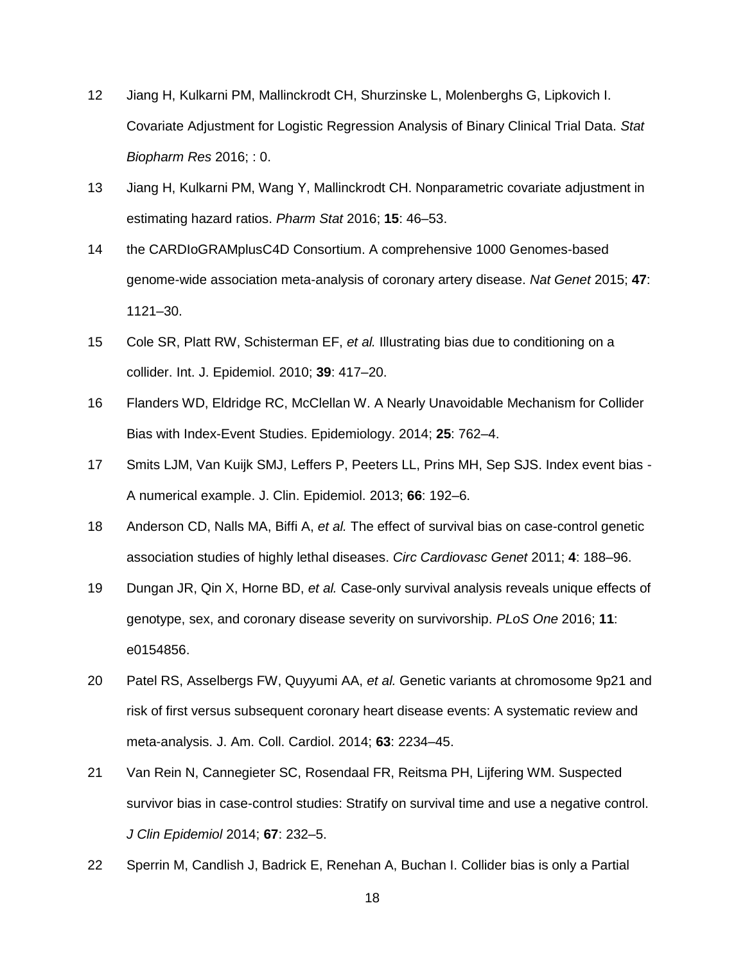- 12 Jiang H, Kulkarni PM, Mallinckrodt CH, Shurzinske L, Molenberghs G, Lipkovich I. Covariate Adjustment for Logistic Regression Analysis of Binary Clinical Trial Data. *Stat Biopharm Res* 2016; : 0.
- 13 Jiang H, Kulkarni PM, Wang Y, Mallinckrodt CH. Nonparametric covariate adjustment in estimating hazard ratios. *Pharm Stat* 2016; **15**: 46–53.
- 14 the CARDIoGRAMplusC4D Consortium. A comprehensive 1000 Genomes-based genome-wide association meta-analysis of coronary artery disease. *Nat Genet* 2015; **47**: 1121–30.
- 15 Cole SR, Platt RW, Schisterman EF, *et al.* Illustrating bias due to conditioning on a collider. Int. J. Epidemiol. 2010; **39**: 417–20.
- 16 Flanders WD, Eldridge RC, McClellan W. A Nearly Unavoidable Mechanism for Collider Bias with Index-Event Studies. Epidemiology. 2014; **25**: 762–4.
- 17 Smits LJM, Van Kuijk SMJ, Leffers P, Peeters LL, Prins MH, Sep SJS. Index event bias A numerical example. J. Clin. Epidemiol. 2013; **66**: 192–6.
- 18 Anderson CD, Nalls MA, Biffi A, *et al.* The effect of survival bias on case-control genetic association studies of highly lethal diseases. *Circ Cardiovasc Genet* 2011; **4**: 188–96.
- 19 Dungan JR, Qin X, Horne BD, *et al.* Case-only survival analysis reveals unique effects of genotype, sex, and coronary disease severity on survivorship. *PLoS One* 2016; **11**: e0154856.
- 20 Patel RS, Asselbergs FW, Quyyumi AA, *et al.* Genetic variants at chromosome 9p21 and risk of first versus subsequent coronary heart disease events: A systematic review and meta-analysis. J. Am. Coll. Cardiol. 2014; **63**: 2234–45.
- 21 Van Rein N, Cannegieter SC, Rosendaal FR, Reitsma PH, Lijfering WM. Suspected survivor bias in case-control studies: Stratify on survival time and use a negative control. *J Clin Epidemiol* 2014; **67**: 232–5.
- 22 Sperrin M, Candlish J, Badrick E, Renehan A, Buchan I. Collider bias is only a Partial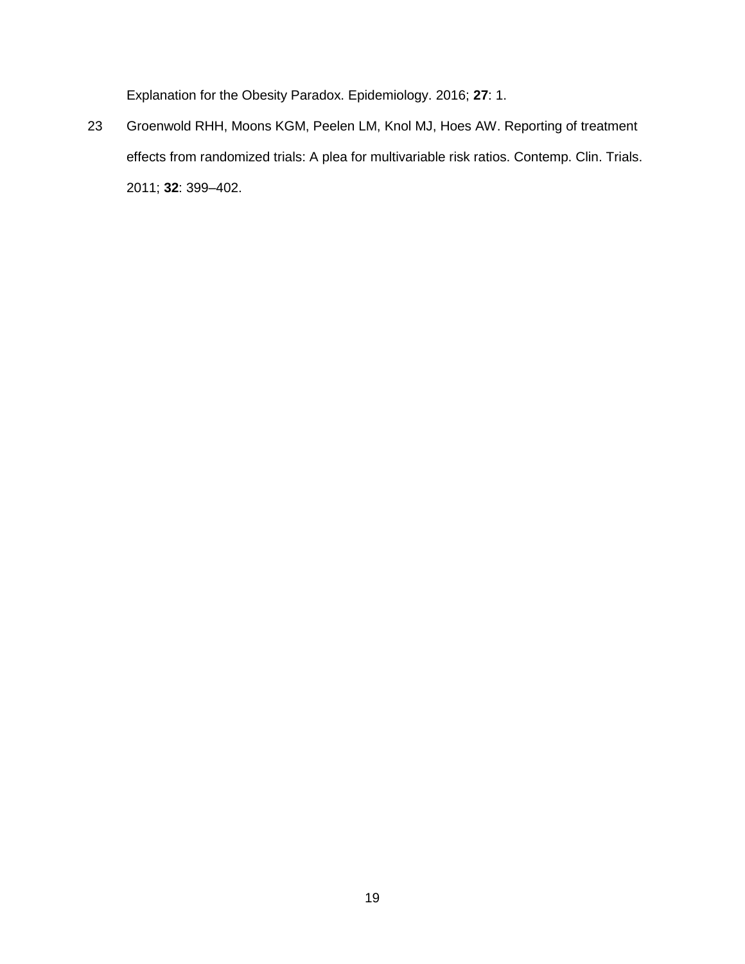Explanation for the Obesity Paradox. Epidemiology. 2016; **27**: 1.

23 Groenwold RHH, Moons KGM, Peelen LM, Knol MJ, Hoes AW. Reporting of treatment effects from randomized trials: A plea for multivariable risk ratios. Contemp. Clin. Trials. 2011; **32**: 399–402.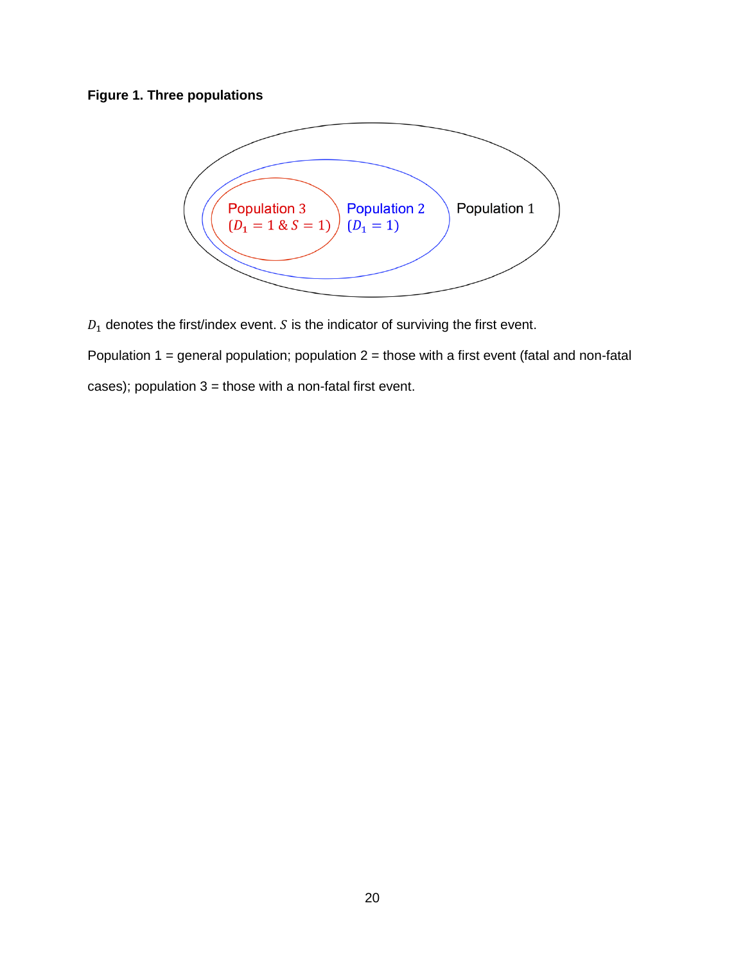# **Figure 1. Three populations**



 $D_1$  denotes the first/index event.  $S$  is the indicator of surviving the first event.

Population 1 = general population; population  $2$  = those with a first event (fatal and non-fatal

cases); population  $3 =$  those with a non-fatal first event.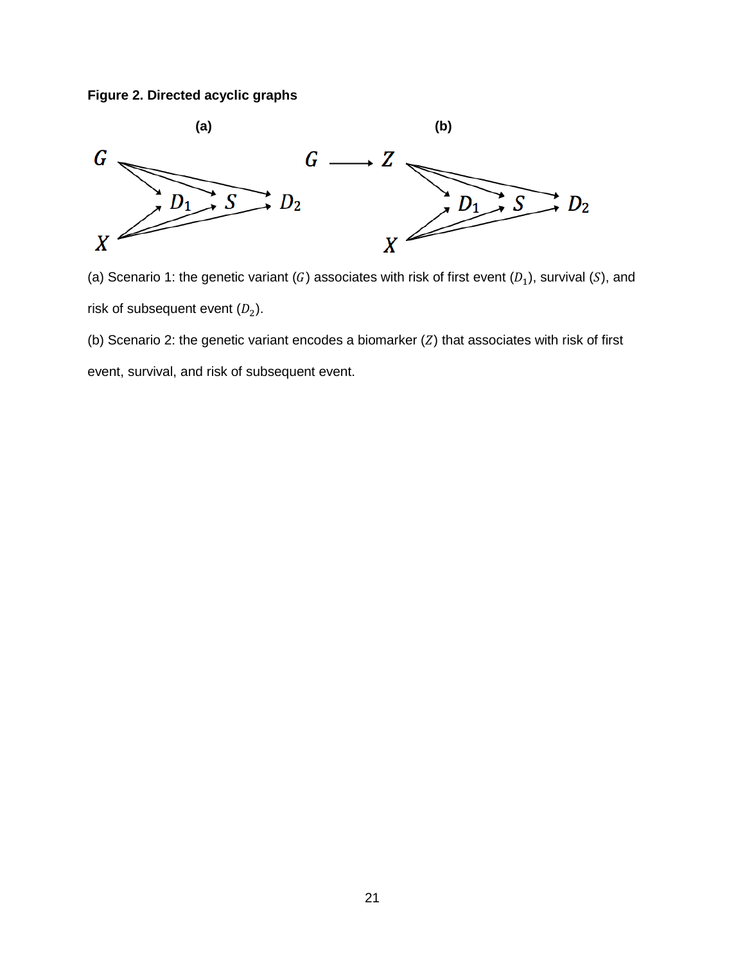**Figure 2. Directed acyclic graphs**



(a) Scenario 1: the genetic variant (G) associates with risk of first event ( $D_1$ ), survival (S), and risk of subsequent event  $(D_2)$ .

(b) Scenario 2: the genetic variant encodes a biomarker  $(Z)$  that associates with risk of first

event, survival, and risk of subsequent event.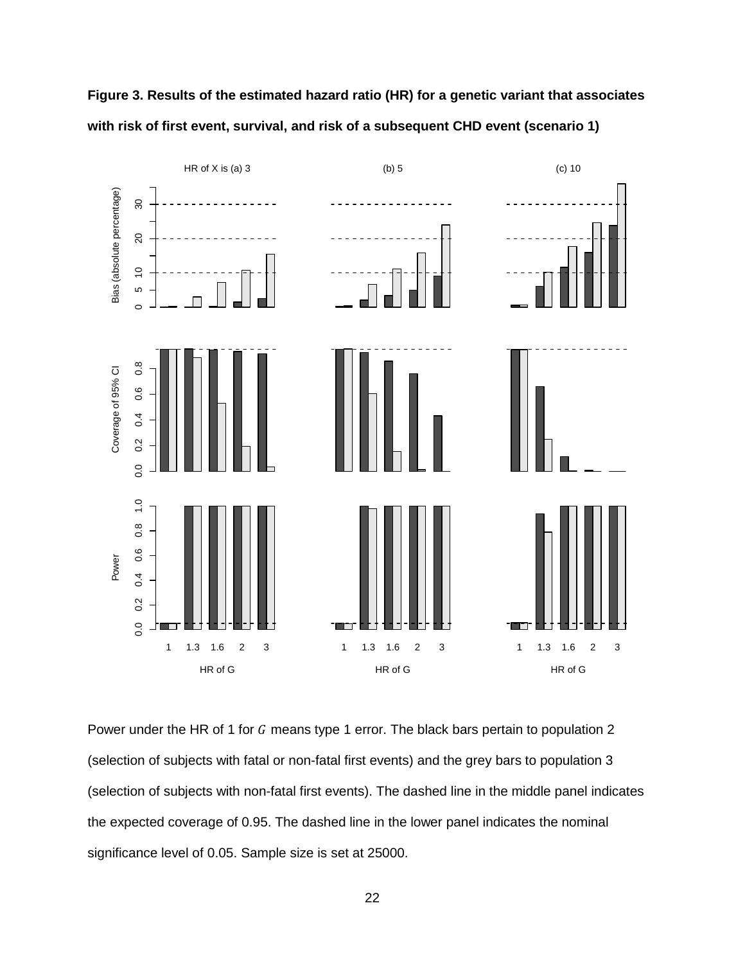

**Figure 3. Results of the estimated hazard ratio (HR) for a genetic variant that associates with risk of first event, survival, and risk of a subsequent CHD event (scenario 1)**

Power under the HR of 1 for  $G$  means type 1 error. The black bars pertain to population 2 (selection of subjects with fatal or non-fatal first events) and the grey bars to population 3 (selection of subjects with non-fatal first events). The dashed line in the middle panel indicates the expected coverage of 0.95. The dashed line in the lower panel indicates the nominal significance level of 0.05. Sample size is set at 25000.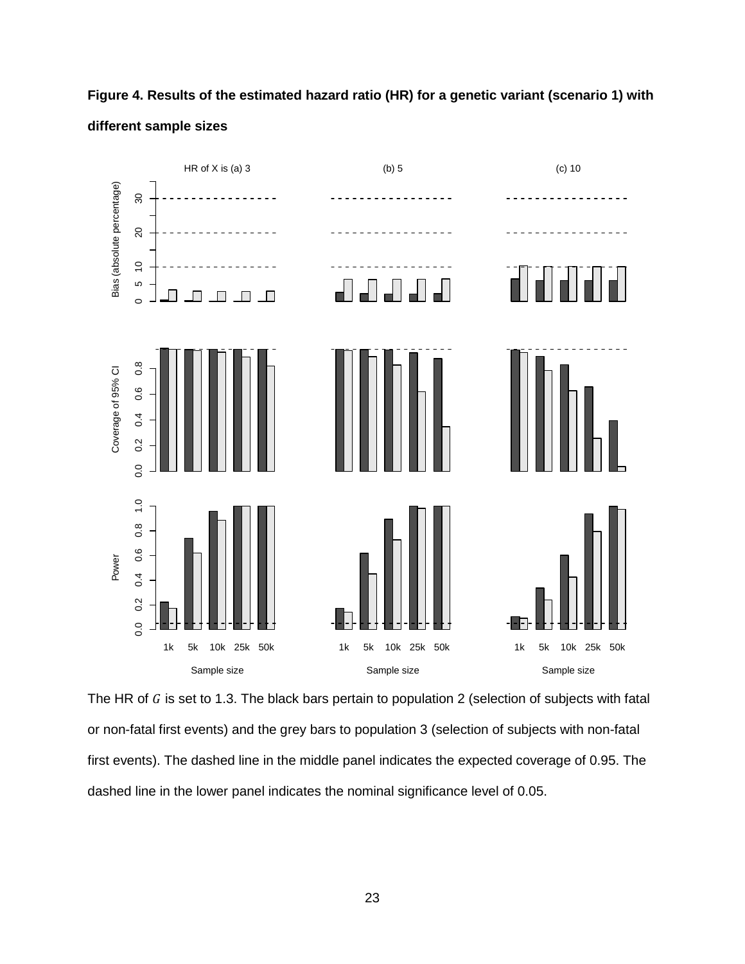

**Figure 4. Results of the estimated hazard ratio (HR) for a genetic variant (scenario 1) with different sample sizes**

The HR of  $G$  is set to 1.3. The black bars pertain to population 2 (selection of subjects with fatal or non-fatal first events) and the grey bars to population 3 (selection of subjects with non-fatal first events). The dashed line in the middle panel indicates the expected coverage of 0.95. The dashed line in the lower panel indicates the nominal significance level of 0.05.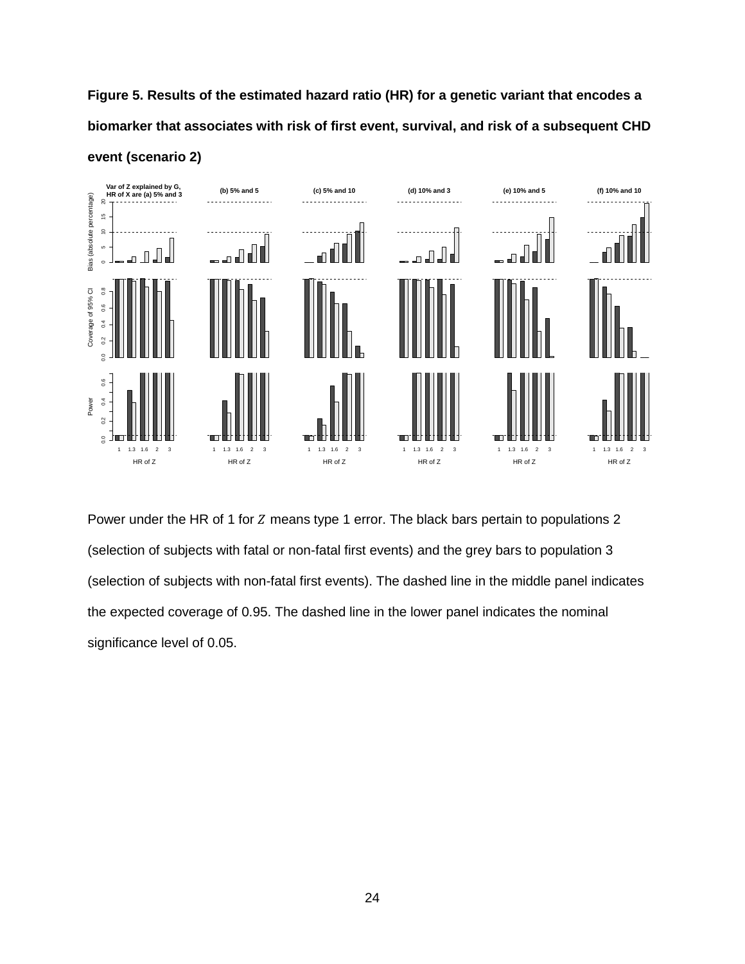**Figure 5. Results of the estimated hazard ratio (HR) for a genetic variant that encodes a biomarker that associates with risk of first event, survival, and risk of a subsequent CHD event (scenario 2)**



Power under the HR of 1 for Z means type 1 error. The black bars pertain to populations 2 (selection of subjects with fatal or non-fatal first events) and the grey bars to population 3 (selection of subjects with non-fatal first events). The dashed line in the middle panel indicates the expected coverage of 0.95. The dashed line in the lower panel indicates the nominal significance level of 0.05.